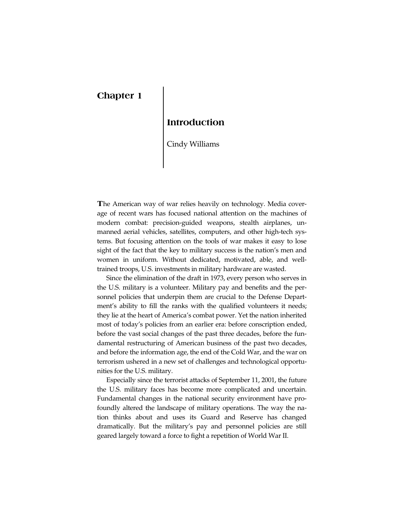# **Chapter 1**

## **Introduction**

Cindy Williams

**T**he American way of war relies heavily on technology. Media coverage of recent wars has focused national attention on the machines of modern combat: precision-guided weapons, stealth airplanes, unmanned aerial vehicles, satellites, computers, and other high-tech systems. But focusing attention on the tools of war makes it easy to lose sight of the fact that the key to military success is the nation's men and women in uniform. Without dedicated, motivated, able, and welltrained troops, U.S. investments in military hardware are wasted.

Since the elimination of the draft in 1973, every person who serves in the U.S. military is a volunteer. Military pay and benefits and the personnel policies that underpin them are crucial to the Defense Depart[ment's ability to fill the ranks with the qualified volunteers it needs;](#page--1-0)  they lie at the heart of America's combat power. Yet the nation inherited most of today's policies from an earlier era: before conscription ended, before the vast social changes of the past three decades, before the fundamental restructuring of American business of the past two decades, and before the information age, the end of the Cold War, and the war on terrorism ushered in a new set of challenges and technological opportunities for the U.S. military.

Especially since the terrorist attacks of September 11, 2001, the future the U.S. military faces has become more complicated and uncertain. Fundamental changes in the national security environment have profoundly altered the landscape of military operations. The way the nation thinks about and uses its Guard and Reserve has changed dramatically. But the military's pay and personnel policies are still geared largely toward a force to fight a repetition of World War II.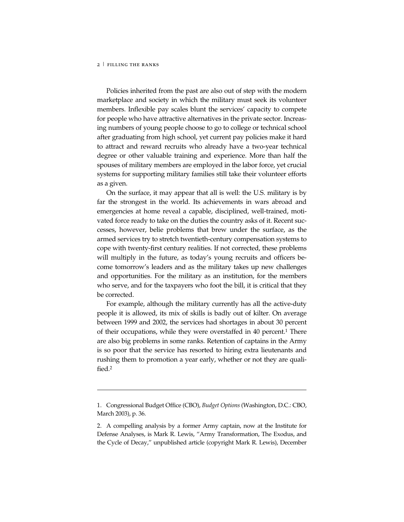j

Policies inherited from the past are also out of step with the modern marketplace and society in which the military must seek its volunteer members. Inflexible pay scales blunt the services' capacity to compete for people who have attractive alternatives in the private sector. Increasing numbers of young people choose to go to college or technical school after graduating from high school, yet current pay policies make it hard to attract and reward recruits who already have a two-year technical degree or other valuable training and experience. More than half the spouses of military members are employed in the labor force, yet crucial systems for supporting military families still take their volunteer efforts as a given.

On the surface, it may appear that all is well: the U.S. military is by far the strongest in the world. Its achievements in wars abroad and emergencies at home reveal a capable, disciplined, well-trained, motivated force ready to take on the duties the country asks of it. Recent successes, however, belie problems that brew under the surface, as the armed services try to stretch twentieth-century compensation systems to cope with twenty-first century realities. If not corrected, these problems will multiply in the future, as today's young recruits and officers become tomorrow's leaders and as the military takes up new challenges and opportunities. For the military as an institution, for the members who serve, and for the taxpayers who foot the bill, it is critical that they be corrected.

For example, although the military currently has all the active-duty people it is allowed, its mix of skills is badly out of kilter. On average between 1999 and 2002, the services had shortages in about 30 percent of their occupations, while they were overstaffed in 40 percent.<sup>1</sup> There are also big problems in some ranks. Retention of captains in the Army is so poor that the service has resorted to hiring extra lieutenants and rushing them to promotion a year early, whether or not they are qualified.2

<sup>1.</sup> Congressional Budget Office (CBO), *Budget Options* (Washington, D.C.: CBO, March 2003), p. 36.

<sup>2.</sup> A compelling analysis by a former Army captain, now at the Institute for Defense Analyses, is Mark R. Lewis, "Army Transformation, The Exodus, and the Cycle of Decay," unpublished article (copyright Mark R. Lewis), December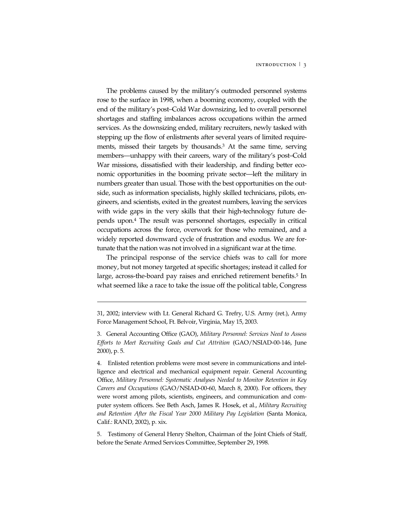### INTRODUCTION  $\frac{1}{3}$

The problems caused by the military's outmoded personnel systems rose to the surface in 1998, when a booming economy, coupled with the end of the military's post–Cold War downsizing, led to overall personnel shortages and staffing imbalances across occupations within the armed services. As the downsizing ended, military recruiters, newly tasked with stepping up the flow of enlistments after several years of limited requirements, missed their targets by thousands.3 At the same time, serving members—unhappy with their careers, wary of the military's post–Cold War missions, dissatisfied with their leadership, and finding better economic opportunities in the booming private sector—left the military in numbers greater than usual. Those with the best opportunities on the outside, such as information specialists, highly skilled technicians, pilots, engineers, and scientists, exited in the greatest numbers, leaving the services with wide gaps in the very skills that their high-technology future depends upon.4 The result was personnel shortages, especially in critical occupations across the force, overwork for those who remained, and a widely reported downward cycle of frustration and exodus. We are fortunate that the nation was not involved in a significant war at the time.

The principal response of the service chiefs was to call for more money, but not money targeted at specific shortages; instead it called for large, across-the-board pay raises and enriched retirement benefits.<sup>5</sup> In what seemed like a race to take the issue off the political table, Congress

j

5. Testimony of General Henry Shelton, Chairman of the Joint Chiefs of Staff, before the Senate Armed Services Committee, September 29, 1998.

<sup>31, 2002;</sup> interview with Lt. General Richard G. Trefry, U.S. Army (ret.), Army Force Management School, Ft. Belvoir, Virginia, May 15, 2003.

<sup>3.</sup> General Accounting Office (GAO), *Military Personnel: Services Need to Assess Efforts to Meet Recruiting Goals and Cut Attrition* (GAO/NSIAD-00-146, June 2000), p. 5.

<sup>4.</sup> Enlisted retention problems were most severe in communications and intelligence and electrical and mechanical equipment repair. General Accounting Office, *Military Personnel: Systematic Analyses Needed to Monitor Retention in Key Careers and Occupations* (GAO/NSIAD-00-60, March 8, 2000). For officers, they were worst among pilots, scientists, engineers, and communication and computer system officers. See Beth Asch, James R. Hosek, et al., *Military Recruiting and Retention After the Fiscal Year 2000 Military Pay Legislation* (Santa Monica, Calif.: RAND, 2002), p. xix.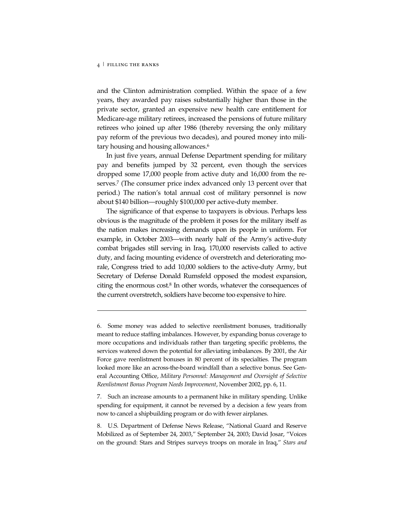j

and the Clinton administration complied. Within the space of a few years, they awarded pay raises substantially higher than those in the private sector, granted an expensive new health care entitlement for Medicare-age military retirees, increased the pensions of future military retirees who joined up after 1986 (thereby reversing the only military pay reform of the previous two decades), and poured money into military housing and housing allowances.<sup>6</sup>

In just five years, annual Defense Department spending for military pay and benefits jumped by 32 percent, even though the services dropped some 17,000 people from active duty and 16,000 from the reserves.<sup>7</sup> (The consumer price index advanced only 13 percent over that period.) The nation's total annual cost of military personnel is now about \$140 billion—roughly \$100,000 per active-duty member.

The significance of that expense to taxpayers is obvious. Perhaps less obvious is the magnitude of the problem it poses for the military itself as the nation makes increasing demands upon its people in uniform. For example, in October 2003—with nearly half of the Army's active-duty combat brigades still serving in Iraq, 170,000 reservists called to active duty, and facing mounting evidence of overstretch and deteriorating morale, Congress tried to add 10,000 soldiers to the active-duty Army, but Secretary of Defense Donald Rumsfeld opposed the modest expansion, citing the enormous cost. $8$  In other words, whatever the consequences of the current overstretch, soldiers have become too expensive to hire.

<sup>6.</sup> Some money was added to selective reenlistment bonuses, traditionally meant to reduce staffing imbalances. However, by expanding bonus coverage to more occupations and individuals rather than targeting specific problems, the services watered down the potential for alleviating imbalances. By 2001, the Air Force gave reenlistment bonuses in 80 percent of its specialties. The program looked more like an across-the-board windfall than a selective bonus. See General Accounting Office, *Military Personnel: Management and Oversight of Selective Reenlistment Bonus Program Needs Improvement*, November 2002, pp. 6, 11.

<sup>7.</sup> Such an increase amounts to a permanent hike in military spending. Unlike spending for equipment, it cannot be reversed by a decision a few years from now to cancel a shipbuilding program or do with fewer airplanes.

<sup>8.</sup> U.S. Department of Defense News Release, "National Guard and Reserve Mobilized as of September 24, 2003," September 24, 2003; David Josar, "Voices on the ground: Stars and Stripes surveys troops on morale in Iraq," *Stars and*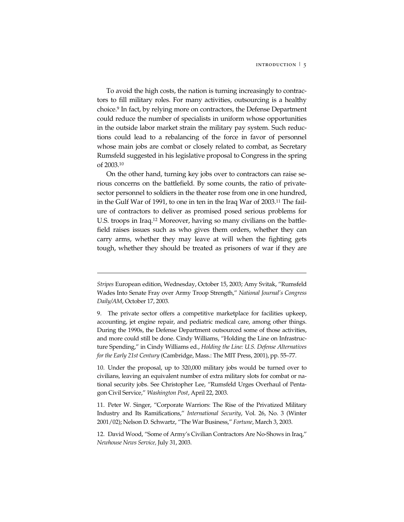To avoid the high costs, the nation is turning increasingly to contractors to fill military roles. For many activities, outsourcing is a healthy choice.9 In fact, by relying more on contractors, the Defense Department could reduce the number of specialists in uniform whose opportunities in the outside labor market strain the military pay system. Such reductions could lead to a rebalancing of the force in favor of personnel whose main jobs are combat or closely related to combat, as Secretary Rumsfeld suggested in his legislative proposal to Congress in the spring of 2003.10

On the other hand, turning key jobs over to contractors can raise serious concerns on the battlefield. By some counts, the ratio of privatesector personnel to soldiers in the theater rose from one in one hundred, in the Gulf War of 1991, to one in ten in the Iraq War of 2003.11 The failure of contractors to deliver as promised posed serious problems for U.S. troops in Iraq.12 Moreover, having so many civilians on the battlefield raises issues such as who gives them orders, whether they can carry arms, whether they may leave at will when the fighting gets tough, whether they should be treated as prisoners of war if they are

j

10. Under the proposal, up to 320,000 military jobs would be turned over to civilians, leaving an equivalent number of extra military slots for combat or national security jobs. See Christopher Lee, "Rumsfeld Urges Overhaul of Pentagon Civil Service," *Washington Post*, April 22, 2003.

11. Peter W. Singer, "Corporate Warriors: The Rise of the Privatized Military Industry and Its Ramifications," *International Security*, Vol. 26, No. 3 (Winter 2001/02); Nelson D. Schwartz, "The War Business," *Fortune*, March 3, 2003.

*Stripes* European edition, Wednesday, October 15, 2003; Amy Svitak, "Rumsfeld Wades Into Senate Fray over Army Troop Strength," *National Journal's Congress Daily/AM*, October 17, 2003.

<sup>9.</sup> The private sector offers a competitive marketplace for facilities upkeep, accounting, jet engine repair, and pediatric medical care, among other things. During the 1990s, the Defense Department outsourced some of those activities, and more could still be done. Cindy Williams, "Holding the Line on Infrastructure Spending," in Cindy Williams ed., *Holding the Line: U.S. Defense Alternatives for the Early 21st Century* (Cambridge, Mass.: The MIT Press, 2001), pp. 55–77.

<sup>12.</sup> David Wood, "Some of Army's Civilian Contractors Are No-Shows in Iraq," *Newhouse News Service,* July 31, 2003.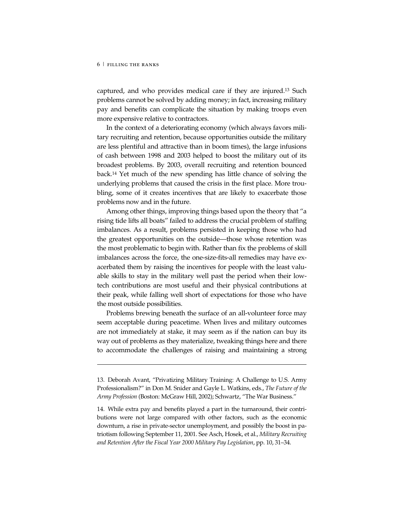j

captured, and who provides medical care if they are injured.13 Such problems cannot be solved by adding money; in fact, increasing military pay and benefits can complicate the situation by making troops even more expensive relative to contractors.

In the context of a deteriorating economy (which always favors military recruiting and retention, because opportunities outside the military are less plentiful and attractive than in boom times), the large infusions of cash between 1998 and 2003 helped to boost the military out of its broadest problems. By 2003, overall recruiting and retention bounced back.14 Yet much of the new spending has little chance of solving the underlying problems that caused the crisis in the first place. More troubling, some of it creates incentives that are likely to exacerbate those problems now and in the future.

Among other things, improving things based upon the theory that "a rising tide lifts all boats" failed to address the crucial problem of staffing imbalances. As a result, problems persisted in keeping those who had the greatest opportunities on the outside—those whose retention was the most problematic to begin with. Rather than fix the problems of skill imbalances across the force, the one-size-fits-all remedies may have exacerbated them by raising the incentives for people with the least valuable skills to stay in the military well past the period when their lowtech contributions are most useful and their physical contributions at their peak, while falling well short of expectations for those who have the most outside possibilities.

Problems brewing beneath the surface of an all-volunteer force may seem acceptable during peacetime. When lives and military outcomes are not immediately at stake, it may seem as if the nation can buy its way out of problems as they materialize, tweaking things here and there to accommodate the challenges of raising and maintaining a strong

<sup>13.</sup> Deborah Avant, "Privatizing Military Training: A Challenge to U.S. Army Professionalism?" in Don M. Snider and Gayle L. Watkins, eds., *The Future of the Army Profession* (Boston: McGraw Hill, 2002); Schwartz, "The War Business."

<sup>14.</sup> While extra pay and benefits played a part in the turnaround, their contributions were not large compared with other factors, such as the economic downturn, a rise in private-sector unemployment, and possibly the boost in patriotism following September 11, 2001. See Asch, Hosek, et al., *Military Recruiting and Retention After the Fiscal Year 2000 Military Pay Legislation*, pp. 10, 31–34.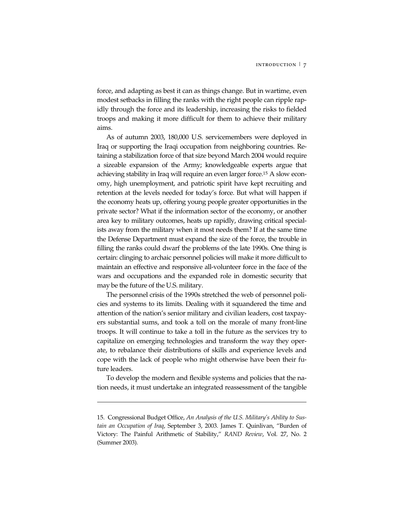force, and adapting as best it can as things change. But in wartime, even modest setbacks in filling the ranks with the right people can ripple rapidly through the force and its leadership, increasing the risks to fielded troops and making it more difficult for them to achieve their military aims.

As of autumn 2003, 180,000 U.S. servicemembers were deployed in Iraq or supporting the Iraqi occupation from neighboring countries. Retaining a stabilization force of that size beyond March 2004 would require a sizeable expansion of the Army; knowledgeable experts argue that achieving stability in Iraq will require an even larger force.15 A slow economy, high unemployment, and patriotic spirit have kept recruiting and retention at the levels needed for today's force. But what will happen if the economy heats up, offering young people greater opportunities in the private sector? What if the information sector of the economy, or another area key to military outcomes, heats up rapidly, drawing critical specialists away from the military when it most needs them? If at the same time the Defense Department must expand the size of the force, the trouble in filling the ranks could dwarf the problems of the late 1990s. One thing is certain: clinging to archaic personnel policies will make it more difficult to maintain an effective and responsive all-volunteer force in the face of the wars and occupations and the expanded role in domestic security that may be the future of the U.S. military.

The personnel crisis of the 1990s stretched the web of personnel policies and systems to its limits. Dealing with it squandered the time and attention of the nation's senior military and civilian leaders, cost taxpayers substantial sums, and took a toll on the morale of many front-line troops. It will continue to take a toll in the future as the services try to capitalize on emerging technologies and transform the way they operate, to rebalance their distributions of skills and experience levels and cope with the lack of people who might otherwise have been their future leaders.

To develop the modern and flexible systems and policies that the nation needs, it must undertake an integrated reassessment of the tangible

-

<sup>15.</sup> Congressional Budget Office, *An Analysis of the U.S. Military's Ability to Sustain an Occupation of Iraq*, September 3, 2003. James T. Quinlivan, "Burden of Victory: The Painful Arithmetic of Stability," *RAND Review*, Vol. 27, No. 2 (Summer 2003).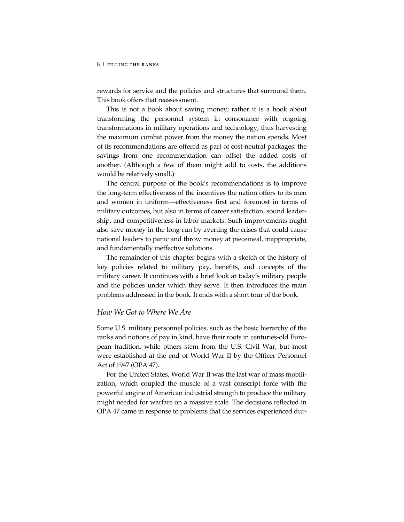rewards for service and the policies and structures that surround them. This book offers that reassessment.

This is not a book about saving money; rather it is a book about transforming the personnel system in consonance with ongoing transformations in military operations and technology, thus harvesting the maximum combat power from the money the nation spends. Most of its recommendations are offered as part of cost-neutral packages: the savings from one recommendation can offset the added costs of another. (Although a few of them might add to costs, the additions would be relatively small.)

The central purpose of the book's recommendations is to improve the long-term effectiveness of the incentives the nation offers to its men and women in uniform—effectiveness first and foremost in terms of military outcomes, but also in terms of career satisfaction, sound leadership, and competitiveness in labor markets. Such improvements might also save money in the long run by averting the crises that could cause national leaders to panic and throw money at piecemeal, inappropriate, and fundamentally ineffective solutions.

The remainder of this chapter begins with a sketch of the history of key policies related to military pay, benefits, and concepts of the military career. It continues with a brief look at today's military people and the policies under which they serve. It then introduces the main problems addressed in the book. It ends with a short tour of the book.

## *How We Got to Where We Are*

Some U.S. military personnel policies, such as the basic hierarchy of the ranks and notions of pay in kind, have their roots in centuries-old European tradition, while others stem from the U.S. Civil War, but most were established at the end of World War II by the Officer Personnel Act of 1947 (OPA 47).

For the United States, World War II was the last war of mass mobilization, which coupled the muscle of a vast conscript force with the powerful engine of American industrial strength to produce the military might needed for warfare on a massive scale. The decisions reflected in OPA 47 came in response to problems that the services experienced dur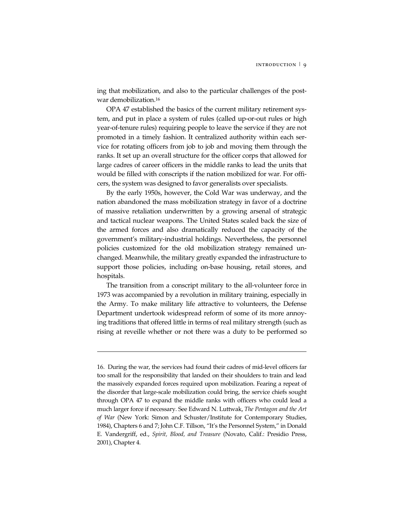ing that mobilization, and also to the particular challenges of the postwar demobilization.16

OPA 47 established the basics of the current military retirement system, and put in place a system of rules (called up-or-out rules or high year-of-tenure rules) requiring people to leave the service if they are not promoted in a timely fashion. It centralized authority within each service for rotating officers from job to job and moving them through the ranks. It set up an overall structure for the officer corps that allowed for large cadres of career officers in the middle ranks to lead the units that would be filled with conscripts if the nation mobilized for war. For officers, the system was designed to favor generalists over specialists.

By the early 1950s, however, the Cold War was underway, and the nation abandoned the mass mobilization strategy in favor of a doctrine of massive retaliation underwritten by a growing arsenal of strategic and tactical nuclear weapons. The United States scaled back the size of the armed forces and also dramatically reduced the capacity of the government's military-industrial holdings. Nevertheless, the personnel policies customized for the old mobilization strategy remained unchanged. Meanwhile, the military greatly expanded the infrastructure to support those policies, including on-base housing, retail stores, and hospitals.

The transition from a conscript military to the all-volunteer force in 1973 was accompanied by a revolution in military training, especially in the Army. To make military life attractive to volunteers, the Defense Department undertook widespread reform of some of its more annoying traditions that offered little in terms of real military strength (such as rising at reveille whether or not there was a duty to be performed so

j

<sup>16.</sup> During the war, the services had found their cadres of mid-level officers far too small for the responsibility that landed on their shoulders to train and lead the massively expanded forces required upon mobilization. Fearing a repeat of the disorder that large-scale mobilization could bring, the service chiefs sought through OPA 47 to expand the middle ranks with officers who could lead a much larger force if necessary. See Edward N. Luttwak, *The Pentagon and the Art of War* (New York: Simon and Schuster/Institute for Contemporary Studies, 1984), Chapters 6 and 7; John C.F. Tillson, "It's the Personnel System," in Donald E. Vandergriff, ed., *Spirit, Blood, and Treasure* (Novato, Calif.: Presidio Press, 2001), Chapter 4.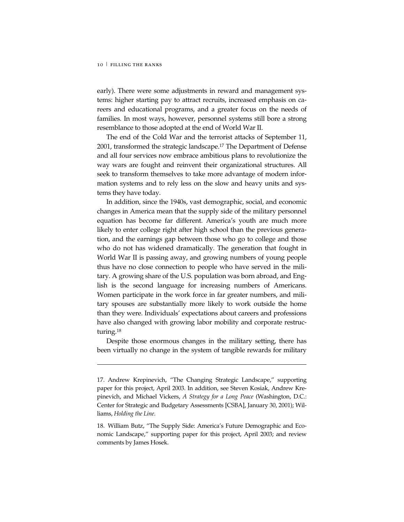-

early). There were some adjustments in reward and management systems: higher starting pay to attract recruits, increased emphasis on careers and educational programs, and a greater focus on the needs of families. In most ways, however, personnel systems still bore a strong resemblance to those adopted at the end of World War II.

The end of the Cold War and the terrorist attacks of September 11, 2001, transformed the strategic landscape.17 The Department of Defense and all four services now embrace ambitious plans to revolutionize the way wars are fought and reinvent their organizational structures. All seek to transform themselves to take more advantage of modern information systems and to rely less on the slow and heavy units and systems they have today.

In addition, since the 1940s, vast demographic, social, and economic changes in America mean that the supply side of the military personnel equation has become far different. America's youth are much more likely to enter college right after high school than the previous generation, and the earnings gap between those who go to college and those who do not has widened dramatically. The generation that fought in World War II is passing away, and growing numbers of young people thus have no close connection to people who have served in the military. A growing share of the U.S. population was born abroad, and English is the second language for increasing numbers of Americans. Women participate in the work force in far greater numbers, and military spouses are substantially more likely to work outside the home than they were. Individuals' expectations about careers and professions have also changed with growing labor mobility and corporate restructuring.<sup>18</sup>

Despite those enormous changes in the military setting, there has been virtually no change in the system of tangible rewards for military

<sup>17.</sup> Andrew Krepinevich, "The Changing Strategic Landscape," supporting paper for this project, April 2003. In addition, see Steven Kosiak, Andrew Krepinevich, and Michael Vickers, *A Strategy for a Long Peace* (Washington, D.C.: Center for Strategic and Budgetary Assessments [CSBA], January 30, 2001); Williams, *Holding the Line*.

<sup>18.</sup> William Butz, "The Supply Side: America's Future Demographic and Economic Landscape," supporting paper for this project, April 2003; and review comments by James Hosek.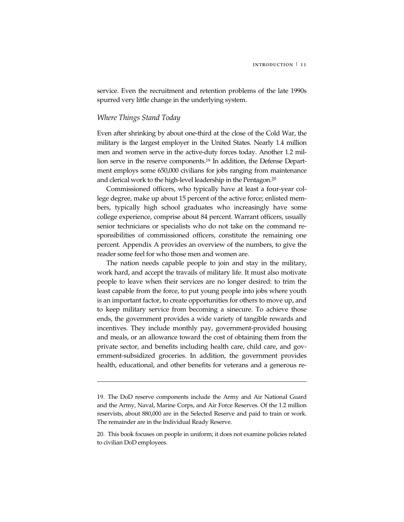service. Even the recruitment and retention problems of the late 1990s spurred very little change in the underlying system.

## *Where Things Stand Today*

-

Even after shrinking by about one-third at the close of the Cold War, the military is the largest employer in the United States. Nearly 1.4 million men and women serve in the active-duty forces today. Another 1.2 million serve in the reserve components.19 In addition, the Defense Department employs some 650,000 civilians for jobs ranging from maintenance and clerical work to the high-level leadership in the Pentagon.20

Commissioned officers, who typically have at least a four-year college degree, make up about 15 percent of the active force; enlisted members, typically high school graduates who increasingly have some college experience, comprise about 84 percent. Warrant officers, usually senior technicians or specialists who do not take on the command responsibilities of commissioned officers, constitute the remaining one percent. Appendix A provides an overview of the numbers, to give the reader some feel for who those men and women are.

The nation needs capable people to join and stay in the military, work hard, and accept the travails of military life. It must also motivate people to leave when their services are no longer desired: to trim the least capable from the force, to put young people into jobs where youth is an important factor, to create opportunities for others to move up, and to keep military service from becoming a sinecure. To achieve those ends, the government provides a wide variety of tangible rewards and incentives. They include monthly pay, government-provided housing and meals, or an allowance toward the cost of obtaining them from the private sector, and benefits including health care, child care, and government-subsidized groceries. In addition, the government provides health, educational, and other benefits for veterans and a generous re-

<sup>19.</sup> The DoD reserve components include the Army and Air National Guard and the Army, Naval, Marine Corps, and Air Force Reserves. Of the 1.2 million reservists, about 880,000 are in the Selected Reserve and paid to train or work. The remainder are in the Individual Ready Reserve.

<sup>20.</sup> This book focuses on people in uniform; it does not examine policies related to civilian DoD employees.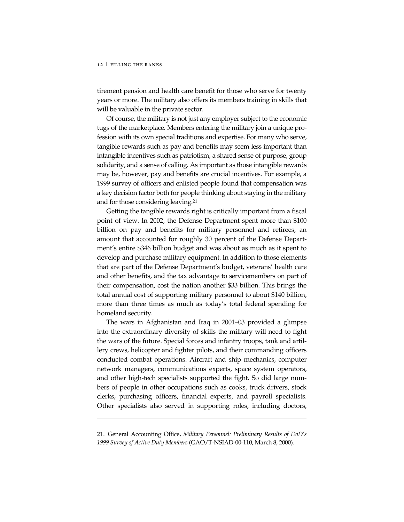j

tirement pension and health care benefit for those who serve for twenty years or more. The military also offers its members training in skills that will be valuable in the private sector.

Of course, the military is not just any employer subject to the economic tugs of the marketplace. Members entering the military join a unique profession with its own special traditions and expertise. For many who serve, tangible rewards such as pay and benefits may seem less important than intangible incentives such as patriotism, a shared sense of purpose, group solidarity, and a sense of calling. As important as those intangible rewards may be, however, pay and benefits are crucial incentives. For example, a 1999 survey of officers and enlisted people found that compensation was a key decision factor both for people thinking about staying in the military and for those considering leaving.21

Getting the tangible rewards right is critically important from a fiscal point of view. In 2002, the Defense Department spent more than \$100 billion on pay and benefits for military personnel and retirees, an amount that accounted for roughly 30 percent of the Defense Department's entire \$346 billion budget and was about as much as it spent to develop and purchase military equipment. In addition to those elements that are part of the Defense Department's budget, veterans' health care and other benefits, and the tax advantage to servicemembers on part of their compensation, cost the nation another \$33 billion. This brings the total annual cost of supporting military personnel to about \$140 billion, more than three times as much as today's total federal spending for homeland security.

The wars in Afghanistan and Iraq in 2001–03 provided a glimpse into the extraordinary diversity of skills the military will need to fight the wars of the future. Special forces and infantry troops, tank and artillery crews, helicopter and fighter pilots, and their commanding officers conducted combat operations. Aircraft and ship mechanics, computer network managers, communications experts, space system operators, and other high-tech specialists supported the fight. So did large numbers of people in other occupations such as cooks, truck drivers, stock clerks, purchasing officers, financial experts, and payroll specialists. Other specialists also served in supporting roles, including doctors,

21. General Accounting Office, *Military Personnel: Preliminary Results of DoD's 1999 Survey of Active Duty Members* (GAO/T-NSIAD-00-110, March 8, 2000).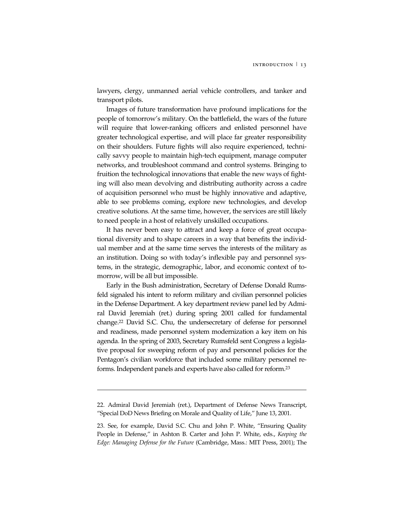lawyers, clergy, unmanned aerial vehicle controllers, and tanker and transport pilots.

Images of future transformation have profound implications for the people of tomorrow's military. On the battlefield, the wars of the future will require that lower-ranking officers and enlisted personnel have greater technological expertise, and will place far greater responsibility on their shoulders. Future fights will also require experienced, technically savvy people to maintain high-tech equipment, manage computer networks, and troubleshoot command and control systems. Bringing to fruition the technological innovations that enable the new ways of fighting will also mean devolving and distributing authority across a cadre of acquisition personnel who must be highly innovative and adaptive, able to see problems coming, explore new technologies, and develop creative solutions. At the same time, however, the services are still likely to need people in a host of relatively unskilled occupations.

It has never been easy to attract and keep a force of great occupational diversity and to shape careers in a way that benefits the individual member and at the same time serves the interests of the military as an institution. Doing so with today's inflexible pay and personnel systems, in the strategic, demographic, labor, and economic context of tomorrow, will be all but impossible.

Early in the Bush administration, Secretary of Defense Donald Rumsfeld signaled his intent to reform military and civilian personnel policies in the Defense Department. A key department review panel led by Admiral David Jeremiah (ret.) during spring 2001 called for fundamental change.22 David S.C. Chu, the undersecretary of defense for personnel and readiness, made personnel system modernization a key item on his agenda. In the spring of 2003, Secretary Rumsfeld sent Congress a legislative proposal for sweeping reform of pay and personnel policies for the Pentagon's civilian workforce that included some military personnel reforms. Independent panels and experts have also called for reform.23

j

<sup>22.</sup> Admiral David Jeremiah (ret.), Department of Defense News Transcript, "Special DoD News Briefing on Morale and Quality of Life," June 13, 2001.

<sup>23.</sup> See, for example, David S.C. Chu and John P. White, "Ensuring Quality People in Defense," in Ashton B. Carter and John P. White, eds., *Keeping the Edge: Managing Defense for the Future* (Cambridge, Mass.: MIT Press, 2001); The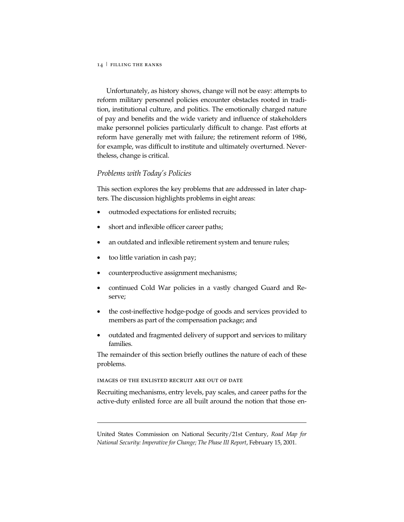Unfortunately, as history shows, change will not be easy: attempts to reform military personnel policies encounter obstacles rooted in tradition, institutional culture, and politics. The emotionally charged nature of pay and benefits and the wide variety and influence of stakeholders make personnel policies particularly difficult to change. Past efforts at reform have generally met with failure; the retirement reform of 1986, for example, was difficult to institute and ultimately overturned. Nevertheless, change is critical.

## *Problems with Today's Policies*

This section explores the key problems that are addressed in later chapters. The discussion highlights problems in eight areas:

- outmoded expectations for enlisted recruits;
- short and inflexible officer career paths;
- an outdated and inflexible retirement system and tenure rules;
- too little variation in cash pay;
- counterproductive assignment mechanisms;
- continued Cold War policies in a vastly changed Guard and Reserve;
- the cost-ineffective hodge-podge of goods and services provided to members as part of the compensation package; and
- outdated and fragmented delivery of support and services to military families.

The remainder of this section briefly outlines the nature of each of these problems.

IMAGES OF THE ENLISTED RECRUIT ARE OUT OF DATE

j

Recruiting mechanisms, entry levels, pay scales, and career paths for the active-duty enlisted force are all built around the notion that those en-

United States Commission on National Security/21st Century, *Road Map for National Security: Imperative for Change; The Phase III Report*, February 15, 2001.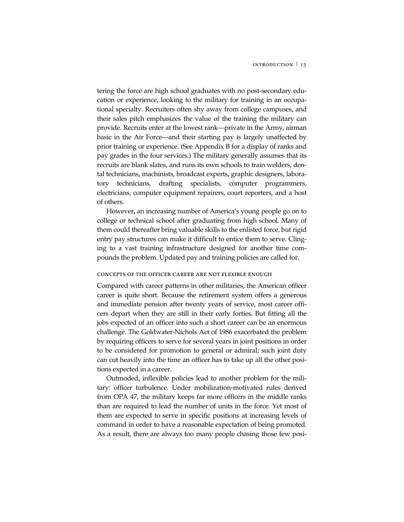tering the force are high school graduates with no post-secondary education or experience, looking to the military for training in an occupational specialty. Recruiters often shy away from college campuses, and their sales pitch emphasizes the value of the training the military can provide. Recruits enter at the lowest rank—private in the Army, airman basic in the Air Force—and their starting pay is largely unaffected by prior training or experience. (See Appendix B for a display of ranks and pay grades in the four services.) The military generally assumes that its recruits are blank slates, and runs its own schools to train welders, dental technicians, machinists, broadcast experts, graphic designers, laboratory technicians, drafting specialists, computer programmers, electricians, computer equipment repairers, court reporters, and a host of others.

However, an increasing number of America's young people go on to college or technical school after graduating from high school. Many of them could thereafter bring valuable skills to the enlisted force, but rigid entry pay structures can make it difficult to entice them to serve. Clinging to a vast training infrastructure designed for another time compounds the problem. Updated pay and training policies are called for.

#### CONCEPTS OF THE OFFICER CAREER ARE NOT FLEXIBLE ENOUGH

Compared with career patterns in other militaries, the American officer career is quite short. Because the retirement system offers a generous and immediate pension after twenty years of service, most career officers depart when they are still in their early forties. But fitting all the jobs expected of an officer into such a short career can be an enormous challenge. The Goldwater-Nichols Act of 1986 exacerbated the problem by requiring officers to serve for several years in joint positions in order to be considered for promotion to general or admiral; such joint duty can cut heavily into the time an officer has to take up all the other positions expected in a career.

Outmoded, inflexible policies lead to another problem for the military: officer turbulence. Under mobilization-motivated rules derived from OPA 47, the military keeps far more officers in the middle ranks than are required to lead the number of units in the force. Yet most of them are expected to serve in specific positions at increasing levels of command in order to have a reasonable expectation of being promoted. As a result, there are always too many people chasing those few posi-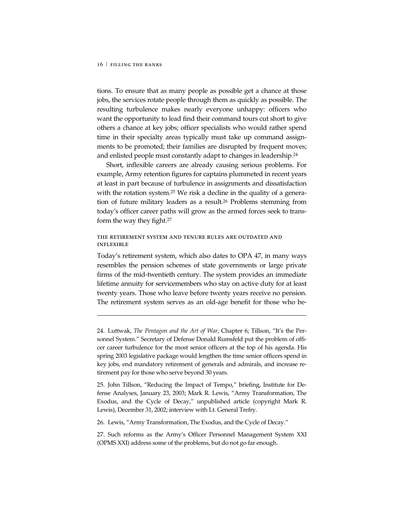j

tions. To ensure that as many people as possible get a chance at those jobs, the services rotate people through them as quickly as possible. The resulting turbulence makes nearly everyone unhappy: officers who want the opportunity to lead find their command tours cut short to give others a chance at key jobs; officer specialists who would rather spend time in their specialty areas typically must take up command assignments to be promoted; their families are disrupted by frequent moves; and enlisted people must constantly adapt to changes in leadership.24

Short, inflexible careers are already causing serious problems. For example, Army retention figures for captains plummeted in recent years at least in part because of turbulence in assignments and dissatisfaction with the rotation system.<sup>25</sup> We risk a decline in the quality of a generation of future military leaders as a result.26 Problems stemming from today's officer career paths will grow as the armed forces seek to transform the way they fight.27

## THE RETIREMENT SYSTEM AND TENURE RULES ARE OUTDATED AND **INFLEXIBLE**

Today's retirement system, which also dates to OPA 47, in many ways resembles the pension schemes of state governments or large private firms of the mid-twentieth century. The system provides an immediate lifetime annuity for servicemembers who stay on active duty for at least twenty years. Those who leave before twenty years receive no pension. The retirement system serves as an old-age benefit for those who be-

26. Lewis, "Army Transformation, The Exodus, and the Cycle of Decay."

27. Such reforms as the Army's Officer Personnel Management System XXI (OPMS XXI) address some of the problems, but do not go far enough.

<sup>24.</sup> Luttwak, *The Pentagon and the Art of War*, Chapter 6; Tillson, "It's the Personnel System." Secretary of Defense Donald Rumsfeld put the problem of officer career turbulence for the most senior officers at the top of his agenda. His spring 2003 legislative package would lengthen the time senior officers spend in key jobs, end mandatory retirement of generals and admirals, and increase retirement pay for those who serve beyond 30 years.

<sup>25.</sup> John Tillson, "Reducing the Impact of Tempo," briefing, Institute for Defense Analyses, January 23, 2003; Mark R. Lewis, "Army Transformation, The Exodus, and the Cycle of Decay," unpublished article (copyright Mark R. Lewis), December 31, 2002; interview with Lt. General Trefry.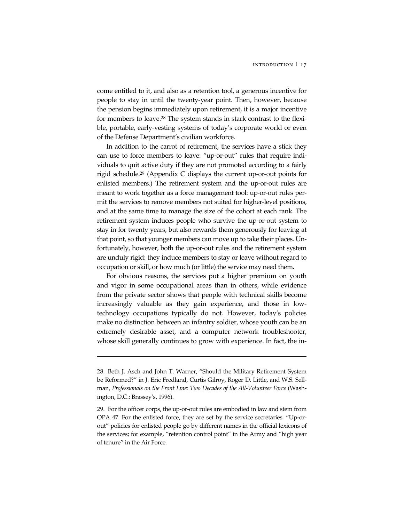come entitled to it, and also as a retention tool, a generous incentive for people to stay in until the twenty-year point. Then, however, because the pension begins immediately upon retirement, it is a major incentive for members to leave.28 The system stands in stark contrast to the flexible, portable, early-vesting systems of today's corporate world or even of the Defense Department's civilian workforce.

In addition to the carrot of retirement, the services have a stick they can use to force members to leave: "up-or-out" rules that require individuals to quit active duty if they are not promoted according to a fairly rigid schedule.29 (Appendix C displays the current up-or-out points for enlisted members.) The retirement system and the up-or-out rules are meant to work together as a force management tool: up-or-out rules permit the services to remove members not suited for higher-level positions, and at the same time to manage the size of the cohort at each rank. The retirement system induces people who survive the up-or-out system to stay in for twenty years, but also rewards them generously for leaving at that point, so that younger members can move up to take their places. Unfortunately, however, both the up-or-out rules and the retirement system are unduly rigid: they induce members to stay or leave without regard to occupation or skill, or how much (or little) the service may need them.

For obvious reasons, the services put a higher premium on youth and vigor in some occupational areas than in others, while evidence from the private sector shows that people with technical skills become increasingly valuable as they gain experience, and those in lowtechnology occupations typically do not. However, today's policies make no distinction between an infantry soldier, whose youth can be an extremely desirable asset, and a computer network troubleshooter, whose skill generally continues to grow with experience. In fact, the in-

-

<sup>28.</sup> Beth J. Asch and John T. Warner, "Should the Military Retirement System be Reformed?" in J. Eric Fredland, Curtis Gilroy, Roger D. Little, and W.S. Sellman, *Professionals on the Front Line: Two Decades of the All-Volunteer Force* (Washington, D.C.: Brassey's, 1996).

<sup>29.</sup> For the officer corps, the up-or-out rules are embodied in law and stem from OPA 47. For the enlisted force, they are set by the service secretaries. "Up-orout" policies for enlisted people go by different names in the official lexicons of the services; for example, "retention control point" in the Army and "high year of tenure" in the Air Force.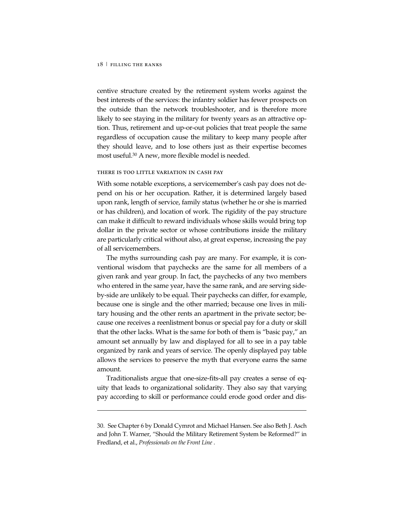-

centive structure created by the retirement system works against the best interests of the services: the infantry soldier has fewer prospects on the outside than the network troubleshooter, and is therefore more likely to see staying in the military for twenty years as an attractive option. Thus, retirement and up-or-out policies that treat people the same regardless of occupation cause the military to keep many people after they should leave, and to lose others just as their expertise becomes most useful.30 A new, more flexible model is needed.

#### THERE IS TOO LITTLE VARIATION IN CASH PAY

With some notable exceptions, a servicemember's cash pay does not depend on his or her occupation. Rather, it is determined largely based upon rank, length of service, family status (whether he or she is married or has children), and location of work. The rigidity of the pay structure can make it difficult to reward individuals whose skills would bring top dollar in the private sector or whose contributions inside the military are particularly critical without also, at great expense, increasing the pay of all servicemembers.

The myths surrounding cash pay are many. For example, it is conventional wisdom that paychecks are the same for all members of a given rank and year group. In fact, the paychecks of any two members who entered in the same year, have the same rank, and are serving sideby-side are unlikely to be equal. Their paychecks can differ, for example, because one is single and the other married; because one lives in military housing and the other rents an apartment in the private sector; because one receives a reenlistment bonus or special pay for a duty or skill that the other lacks. What is the same for both of them is "basic pay," an amount set annually by law and displayed for all to see in a pay table organized by rank and years of service. The openly displayed pay table allows the services to preserve the myth that everyone earns the same amount.

Traditionalists argue that one-size-fits-all pay creates a sense of equity that leads to organizational solidarity. They also say that varying pay according to skill or performance could erode good order and dis-

<sup>30.</sup> See Chapter 6 by Donald Cymrot and Michael Hansen. See also Beth J. Asch and John T. Warner, "Should the Military Retirement System be Reformed?" in Fredland, et al., *Professionals on the Front Line* .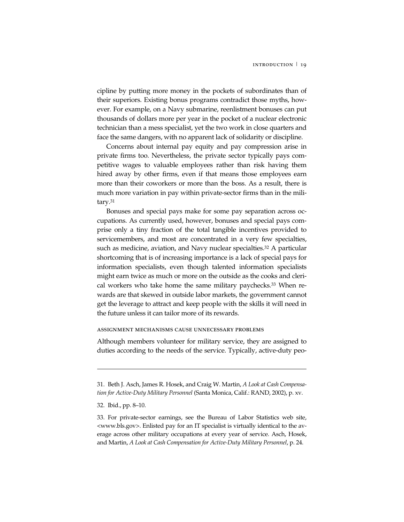cipline by putting more money in the pockets of subordinates than of their superiors. Existing bonus programs contradict those myths, however. For example, on a Navy submarine, reenlistment bonuses can put thousands of dollars more per year in the pocket of a nuclear electronic technician than a mess specialist, yet the two work in close quarters and face the same dangers, with no apparent lack of solidarity or discipline.

Concerns about internal pay equity and pay compression arise in private firms too. Nevertheless, the private sector typically pays competitive wages to valuable employees rather than risk having them hired away by other firms, even if that means those employees earn more than their coworkers or more than the boss. As a result, there is much more variation in pay within private-sector firms than in the military.31

Bonuses and special pays make for some pay separation across occupations. As currently used, however, bonuses and special pays comprise only a tiny fraction of the total tangible incentives provided to servicemembers, and most are concentrated in a very few specialties, such as medicine, aviation, and Navy nuclear specialties.<sup>32</sup> A particular shortcoming that is of increasing importance is a lack of special pays for information specialists, even though talented information specialists might earn twice as much or more on the outside as the cooks and clerical workers who take home the same military paychecks.<sup>33</sup> When rewards are that skewed in outside labor markets, the government cannot get the leverage to attract and keep people with the skills it will need in the future unless it can tailor more of its rewards.

#### ASSIGNMENT MECHANISMS CAUSE UNNECESSARY PROBLEMS

Although members volunteer for military service, they are assigned to duties according to the needs of the service. Typically, active-duty peo-

-

<sup>31.</sup> Beth J. Asch, James R. Hosek, and Craig W. Martin, *A Look at Cash Compensation for Active-Duty Military Personnel* (Santa Monica, Calif.: RAND, 2002), p. xv.

<sup>32.</sup> Ibid., pp. 8–10.

<sup>33.</sup> For private-sector earnings, see the Bureau of Labor Statistics web site, <www.bls.gov>. Enlisted pay for an IT specialist is virtually identical to the average across other military occupations at every year of service. Asch, Hosek, and Martin, *A Look at Cash Compensation for Active-Duty Military Personnel*, p. 24.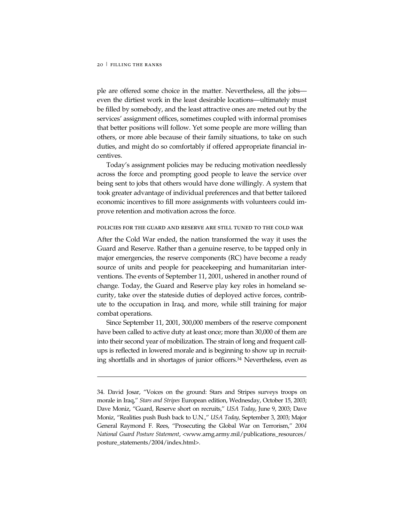-

ple are offered some choice in the matter. Nevertheless, all the jobs even the dirtiest work in the least desirable locations—ultimately must be filled by somebody, and the least attractive ones are meted out by the services' assignment offices, sometimes coupled with informal promises that better positions will follow. Yet some people are more willing than others, or more able because of their family situations, to take on such duties, and might do so comfortably if offered appropriate financial incentives.

Today's assignment policies may be reducing motivation needlessly across the force and prompting good people to leave the service over being sent to jobs that others would have done willingly. A system that took greater advantage of individual preferences and that better tailored economic incentives to fill more assignments with volunteers could improve retention and motivation across the force.

#### POLICIES FOR THE GUARD AND RESERVE ARE STILL TUNED TO THE COLD WAR

After the Cold War ended, the nation transformed the way it uses the Guard and Reserve. Rather than a genuine reserve, to be tapped only in major emergencies, the reserve components (RC) have become a ready source of units and people for peacekeeping and humanitarian interventions. The events of September 11, 2001, ushered in another round of change. Today, the Guard and Reserve play key roles in homeland security, take over the stateside duties of deployed active forces, contribute to the occupation in Iraq, and more, while still training for major combat operations.

Since September 11, 2001, 300,000 members of the reserve component have been called to active duty at least once; more than 30,000 of them are into their second year of mobilization. The strain of long and frequent callups is reflected in lowered morale and is beginning to show up in recruiting shortfalls and in shortages of junior officers.34 Nevertheless, even as

<sup>34.</sup> David Josar, "Voices on the ground: Stars and Stripes surveys troops on morale in Iraq," *Stars and Stripes* European edition, Wednesday, October 15, 2003; Dave Moniz, "Guard, Reserve short on recruits," *USA Today*, June 9, 2003; Dave Moniz, "Realities push Bush back to U.N.," *USA Today,* September 3, 2003; Major General Raymond F. Rees, "Prosecuting the Global War on Terrorism," *2004 National Guard Posture Statement*, <www.arng.army.mil/publications\_resources/ posture\_statements/2004/index.html>.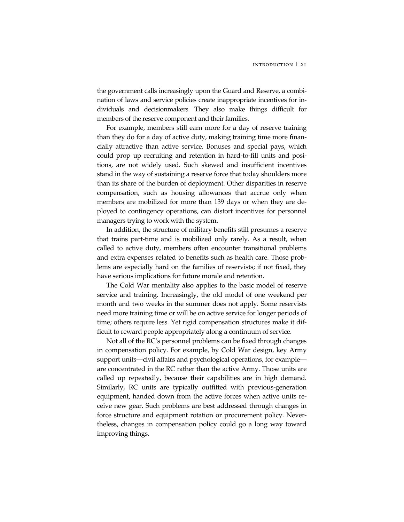the government calls increasingly upon the Guard and Reserve, a combination of laws and service policies create inappropriate incentives for individuals and decisionmakers. They also make things difficult for members of the reserve component and their families.

For example, members still earn more for a day of reserve training than they do for a day of active duty, making training time more financially attractive than active service. Bonuses and special pays, which could prop up recruiting and retention in hard-to-fill units and positions, are not widely used. Such skewed and insufficient incentives stand in the way of sustaining a reserve force that today shoulders more than its share of the burden of deployment. Other disparities in reserve compensation, such as housing allowances that accrue only when members are mobilized for more than 139 days or when they are deployed to contingency operations, can distort incentives for personnel managers trying to work with the system.

In addition, the structure of military benefits still presumes a reserve that trains part-time and is mobilized only rarely. As a result, when called to active duty, members often encounter transitional problems and extra expenses related to benefits such as health care. Those problems are especially hard on the families of reservists; if not fixed, they have serious implications for future morale and retention.

The Cold War mentality also applies to the basic model of reserve service and training. Increasingly, the old model of one weekend per month and two weeks in the summer does not apply. Some reservists need more training time or will be on active service for longer periods of time; others require less. Yet rigid compensation structures make it difficult to reward people appropriately along a continuum of service.

Not all of the RC's personnel problems can be fixed through changes in compensation policy. For example, by Cold War design, key Army support units—civil affairs and psychological operations, for example are concentrated in the RC rather than the active Army. Those units are called up repeatedly, because their capabilities are in high demand. Similarly, RC units are typically outfitted with previous-generation equipment, handed down from the active forces when active units receive new gear. Such problems are best addressed through changes in force structure and equipment rotation or procurement policy. Nevertheless, changes in compensation policy could go a long way toward improving things.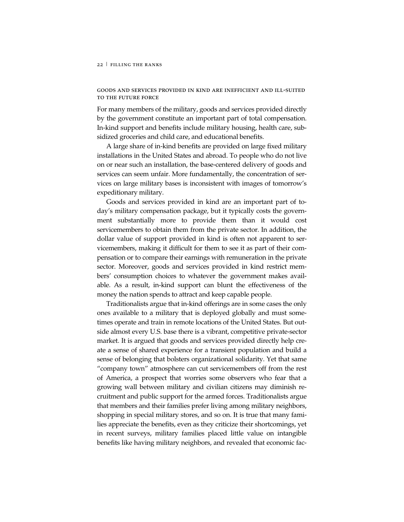GOODS AND SERVICES PROVIDED IN KIND ARE INEFFICIENT AND ILL-SUITED TO THE FUTURE FORCE

For many members of the military, goods and services provided directly by the government constitute an important part of total compensation. In-kind support and benefits include military housing, health care, subsidized groceries and child care, and educational benefits.

A large share of in-kind benefits are provided on large fixed military installations in the United States and abroad. To people who do not live on or near such an installation, the base-centered delivery of goods and services can seem unfair. More fundamentally, the concentration of services on large military bases is inconsistent with images of tomorrow's expeditionary military.

Goods and services provided in kind are an important part of today's military compensation package, but it typically costs the government substantially more to provide them than it would cost servicemembers to obtain them from the private sector. In addition, the dollar value of support provided in kind is often not apparent to servicemembers, making it difficult for them to see it as part of their compensation or to compare their earnings with remuneration in the private sector. Moreover, goods and services provided in kind restrict members' consumption choices to whatever the government makes available. As a result, in-kind support can blunt the effectiveness of the money the nation spends to attract and keep capable people.

Traditionalists argue that in-kind offerings are in some cases the only ones available to a military that is deployed globally and must sometimes operate and train in remote locations of the United States. But outside almost every U.S. base there is a vibrant, competitive private-sector market. It is argued that goods and services provided directly help create a sense of shared experience for a transient population and build a sense of belonging that bolsters organizational solidarity. Yet that same "company town" atmosphere can cut servicemembers off from the rest of America, a prospect that worries some observers who fear that a growing wall between military and civilian citizens may diminish recruitment and public support for the armed forces. Traditionalists argue that members and their families prefer living among military neighbors, shopping in special military stores, and so on. It is true that many families appreciate the benefits, even as they criticize their shortcomings, yet in recent surveys, military families placed little value on intangible benefits like having military neighbors, and revealed that economic fac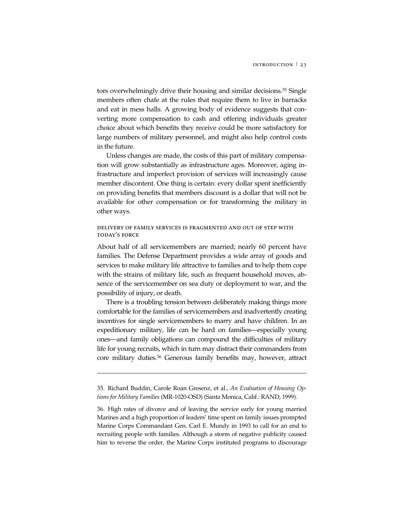tors overwhelmingly drive their housing and similar decisions.35 Single members often chafe at the rules that require them to live in barracks and eat in mess halls. A growing body of evidence suggests that converting more compensation to cash and offering individuals greater choice about which benefits they receive could be more satisfactory for large numbers of military personnel, and might also help control costs in the future.

Unless changes are made, the costs of this part of military compensation will grow substantially as infrastructure ages. Moreover, aging infrastructure and imperfect provision of services will increasingly cause member discontent. One thing is certain: every dollar spent inefficiently on providing benefits that members discount is a dollar that will not be available for other compensation or for transforming the military in other ways.

## DELIVERY OF FAMILY SERVICES IS FRAGMENTED AND OUT OF STEP WITH TODAY'S FORCE

About half of all servicemembers are married; nearly 60 percent have families. The Defense Department provides a wide array of goods and services to make military life attractive to families and to help them cope with the strains of military life, such as frequent household moves, absence of the servicemember on sea duty or deployment to war, and the possibility of injury, or death.

There is a troubling tension between deliberately making things more comfortable for the families of servicemembers and inadvertently creating incentives for single servicemembers to marry and have children. In an expeditionary military, life can be hard on families—especially young ones—and family obligations can compound the difficulties of military life for young recruits, which in turn may distract their commanders from core military duties.36 Generous family benefits may, however, attract

-

<sup>35.</sup> Richard Buddin, Carole Roan Gresenz, et al., *An Evaluation of Housing Options for Military Families* (MR-1020-OSD) (Santa Monica, Calif.: RAND, 1999).

<sup>36.</sup> High rates of divorce and of leaving the service early for young married Marines and a high proportion of leaders' time spent on family issues prompted Marine Corps Commandant Gen. Carl E. Mundy in 1993 to call for an end to recruiting people with families. Although a storm of negative publicity caused him to reverse the order, the Marine Corps instituted programs to discourage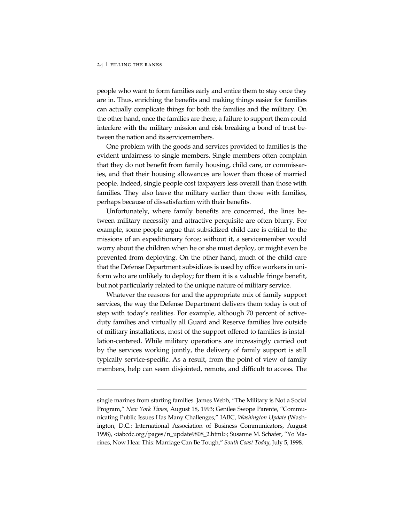-

people who want to form families early and entice them to stay once they are in. Thus, enriching the benefits and making things easier for families can actually complicate things for both the families and the military. On the other hand, once the families are there, a failure to support them could interfere with the military mission and risk breaking a bond of trust between the nation and its servicemembers.

One problem with the goods and services provided to families is the evident unfairness to single members. Single members often complain that they do not benefit from family housing, child care, or commissaries, and that their housing allowances are lower than those of married people. Indeed, single people cost taxpayers less overall than those with families. They also leave the military earlier than those with families, perhaps because of dissatisfaction with their benefits.

Unfortunately, where family benefits are concerned, the lines between military necessity and attractive perquisite are often blurry. For example, some people argue that subsidized child care is critical to the missions of an expeditionary force; without it, a servicemember would worry about the children when he or she must deploy, or might even be prevented from deploying. On the other hand, much of the child care that the Defense Department subsidizes is used by office workers in uniform who are unlikely to deploy; for them it is a valuable fringe benefit, but not particularly related to the unique nature of military service.

Whatever the reasons for and the appropriate mix of family support services, the way the Defense Department delivers them today is out of step with today's realities. For example, although 70 percent of activeduty families and virtually all Guard and Reserve families live outside of military installations, most of the support offered to families is installation-centered. While military operations are increasingly carried out by the services working jointly, the delivery of family support is still typically service-specific. As a result, from the point of view of family members, help can seem disjointed, remote, and difficult to access. The

single marines from starting families. James Webb, "The Military is Not a Social Program," *New York Times*, August 18, 1993; Genilee Swope Parente, "Communicating Public Issues Has Many Challenges," IABC, *Washington Update* (Washington, D.C.: International Association of Business Communicators, August 1998), <iabcdc.org/pages/n\_update9808\_2.html>; Susanne M. Schafer, "Yo Marines, Now Hear This: Marriage Can Be Tough," *South Coast Today*, July 5, 1998.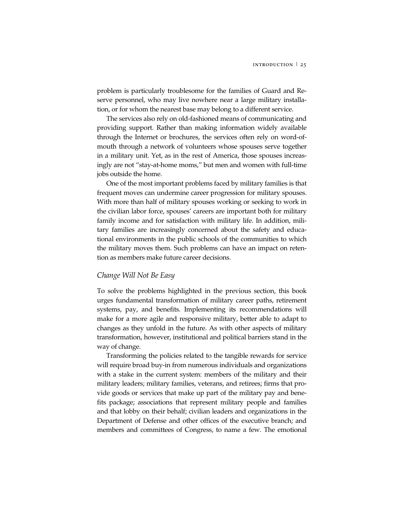problem is particularly troublesome for the families of Guard and Reserve personnel, who may live nowhere near a large military installation, or for whom the nearest base may belong to a different service.

The services also rely on old-fashioned means of communicating and providing support. Rather than making information widely available through the Internet or brochures, the services often rely on word-ofmouth through a network of volunteers whose spouses serve together in a military unit. Yet, as in the rest of America, those spouses increasingly are not "stay-at-home moms," but men and women with full-time jobs outside the home.

One of the most important problems faced by military families is that frequent moves can undermine career progression for military spouses. With more than half of military spouses working or seeking to work in the civilian labor force, spouses' careers are important both for military family income and for satisfaction with military life. In addition, military families are increasingly concerned about the safety and educational environments in the public schools of the communities to which the military moves them. Such problems can have an impact on retention as members make future career decisions.

## *Change Will Not Be Easy*

To solve the problems highlighted in the previous section, this book urges fundamental transformation of military career paths, retirement systems, pay, and benefits. Implementing its recommendations will make for a more agile and responsive military, better able to adapt to changes as they unfold in the future. As with other aspects of military transformation, however, institutional and political barriers stand in the way of change.

Transforming the policies related to the tangible rewards for service will require broad buy-in from numerous individuals and organizations with a stake in the current system: members of the military and their military leaders; military families, veterans, and retirees; firms that provide goods or services that make up part of the military pay and benefits package; associations that represent military people and families and that lobby on their behalf; civilian leaders and organizations in the Department of Defense and other offices of the executive branch; and members and committees of Congress, to name a few. The emotional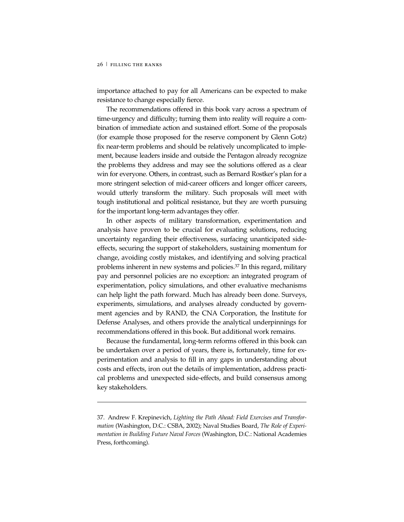-

importance attached to pay for all Americans can be expected to make resistance to change especially fierce.

The recommendations offered in this book vary across a spectrum of time-urgency and difficulty; turning them into reality will require a combination of immediate action and sustained effort. Some of the proposals (for example those proposed for the reserve component by Glenn Gotz) fix near-term problems and should be relatively uncomplicated to implement, because leaders inside and outside the Pentagon already recognize the problems they address and may see the solutions offered as a clear win for everyone. Others, in contrast, such as Bernard Rostker's plan for a more stringent selection of mid-career officers and longer officer careers, would utterly transform the military. Such proposals will meet with tough institutional and political resistance, but they are worth pursuing for the important long-term advantages they offer.

In other aspects of military transformation, experimentation and analysis have proven to be crucial for evaluating solutions, reducing uncertainty regarding their effectiveness, surfacing unanticipated sideeffects, securing the support of stakeholders, sustaining momentum for change, avoiding costly mistakes, and identifying and solving practical problems inherent in new systems and policies.37 In this regard, military pay and personnel policies are no exception: an integrated program of experimentation, policy simulations, and other evaluative mechanisms can help light the path forward. Much has already been done. Surveys, experiments, simulations, and analyses already conducted by government agencies and by RAND, the CNA Corporation, the Institute for Defense Analyses, and others provide the analytical underpinnings for recommendations offered in this book. But additional work remains.

Because the fundamental, long-term reforms offered in this book can be undertaken over a period of years, there is, fortunately, time for experimentation and analysis to fill in any gaps in understanding about costs and effects, iron out the details of implementation, address practical problems and unexpected side-effects, and build consensus among key stakeholders.

<sup>37.</sup> Andrew F. Krepinevich, *Lighting the Path Ahead: Field Exercises and Transformation* (Washington, D.C.: CSBA, 2002); Naval Studies Board, *The Role of Experimentation in Building Future Naval Forces* (Washington, D.C.: National Academies Press, forthcoming).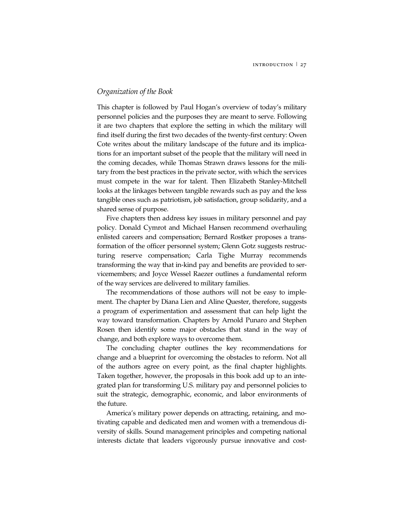## *Organization of the Book*

This chapter is followed by Paul Hogan's overview of today's military personnel policies and the purposes they are meant to serve. Following it are two chapters that explore the setting in which the military will find itself during the first two decades of the twenty-first century: Owen Cote writes about the military landscape of the future and its implications for an important subset of the people that the military will need in the coming decades, while Thomas Strawn draws lessons for the military from the best practices in the private sector, with which the services must compete in the war for talent. Then Elizabeth Stanley-Mitchell looks at the linkages between tangible rewards such as pay and the less tangible ones such as patriotism, job satisfaction, group solidarity, and a shared sense of purpose.

Five chapters then address key issues in military personnel and pay policy. Donald Cymrot and Michael Hansen recommend overhauling enlisted careers and compensation; Bernard Rostker proposes a transformation of the officer personnel system; Glenn Gotz suggests restructuring reserve compensation; Carla Tighe Murray recommends transforming the way that in-kind pay and benefits are provided to servicemembers; and Joyce Wessel Raezer outlines a fundamental reform of the way services are delivered to military families.

The recommendations of those authors will not be easy to implement. The chapter by Diana Lien and Aline Quester, therefore, suggests a program of experimentation and assessment that can help light the way toward transformation. Chapters by Arnold Punaro and Stephen Rosen then identify some major obstacles that stand in the way of change, and both explore ways to overcome them.

The concluding chapter outlines the key recommendations for change and a blueprint for overcoming the obstacles to reform. Not all of the authors agree on every point, as the final chapter highlights. Taken together, however, the proposals in this book add up to an integrated plan for transforming U.S. military pay and personnel policies to suit the strategic, demographic, economic, and labor environments of the future.

America's military power depends on attracting, retaining, and motivating capable and dedicated men and women with a tremendous diversity of skills. Sound management principles and competing national interests dictate that leaders vigorously pursue innovative and cost-